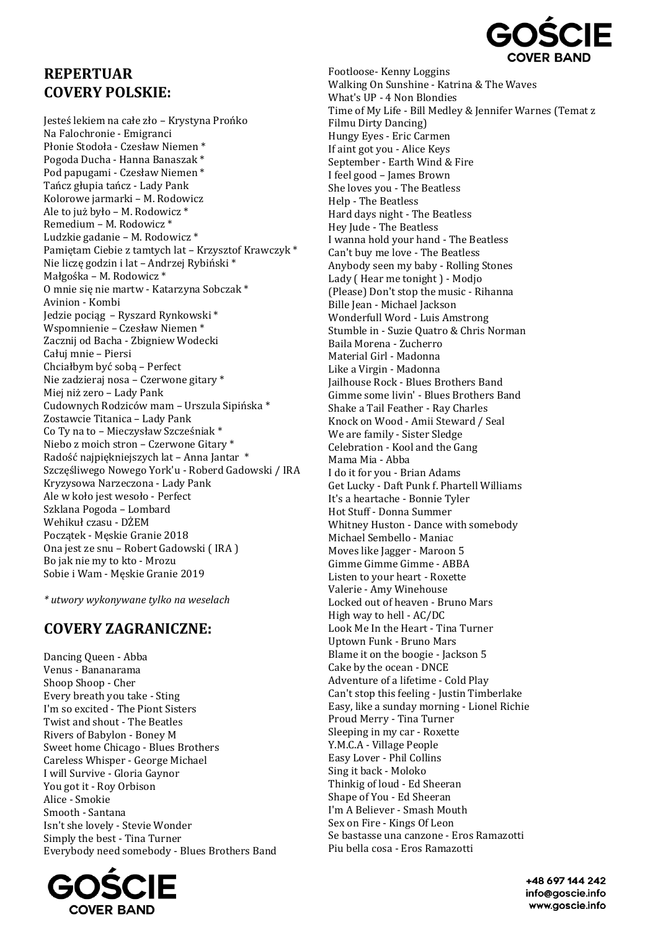

## **REPERTUAR COVERY POLSKIE:**

Jesteś lekiem na całe zło – Krystyna Prońko Na Falochronie - Emigranci Płonie Stodoła - Czesław Niemen \* Pogoda Ducha - Hanna Banaszak \* Pod papugami - Czesław Niemen \* Tańcz głupia tańcz - Lady Pank Kolorowe jarmarki – M. Rodowicz Ale to już było – M. Rodowicz \* Remedium – M. Rodowicz \* Ludzkie gadanie – M. Rodowicz \* Pamiętam Ciebie z tamtych lat – Krzysztof Krawczyk \* Nie liczę godzin i lat – Andrzej Rybiński \* Małgośka – M. Rodowicz \* O mnie się nie martw - Katarzyna Sobczak \* Avinion - Kombi Jedzie pociąg – Ryszard Rynkowski \* Wspomnienie – Czesław Niemen \* Zacznij od Bacha - Zbigniew Wodecki Całuj mnie – Piersi Chciałbym być sobą – Perfect Nie zadzieraj nosa – Czerwone gitary \* Miej niż zero – Lady Pank Cudownych Rodziców mam – Urszula Sipińska \* Zostawcie Titanica – Lady Pank Co Ty na to – Mieczysław Szcześniak \* Niebo z moich stron – Czerwone Gitary \* Radość najpiękniejszych lat – Anna Jantar \* Szczęśliwego Nowego York'u - Roberd Gadowski / IRA Kryzysowa Narzeczona - Lady Pank Ale w koło jest wesoło - Perfect Szklana Pogoda – Lombard Wehikuł czasu - DŻEM Początek - Męskie Granie 2018 Ona jest ze snu – Robert Gadowski ( IRA ) Bo jak nie my to kto - Mrozu Sobie i Wam - Męskie Granie 2019

*\* utwory wykonywane tylko na weselach*

## **COVERY ZAGRANICZNE:**

Dancing Queen - Abba Venus - Bananarama Shoop Shoop - Cher Every breath you take - Sting I'm so excited - The Piont Sisters Twist and shout - The Beatles Rivers of Babylon - Boney M Sweet home Chicago - Blues Brothers Careless Whisper - George Michael I will Survive - Gloria Gaynor You got it - Roy Orbison Alice - Smokie Smooth - Santana Isn't she lovely - Stevie Wonder Simply the best - Tina Turner Everybody need somebody - Blues Brothers Band



Footloose- Kenny Loggins Walking On Sunshine - Katrina & The Waves What's UP - 4 Non Blondies Time of My Life - Bill Medley & Jennifer Warnes (Temat z Filmu Dirty Dancing) Hungy Eyes - Eric Carmen If aint got you - Alice Keys September - Earth Wind & Fire I feel good – James Brown She loves you - The Beatless Help - The Beatless Hard days night - The Beatless Hey Jude - The Beatless I wanna hold your hand - The Beatless Can't buy me love - The Beatless Anybody seen my baby - Rolling Stones Lady ( Hear me tonight ) - Modjo (Please) Don't stop the music - Rihanna Bille Jean - Michael Jackson Wonderfull Word - Luis Amstrong Stumble in - Suzie Quatro & Chris Norman Baila Morena - Zucherro Material Girl - Madonna Like a Virgin - Madonna Jailhouse Rock - Blues Brothers Band Gimme some livin' - Blues Brothers Band Shake a Tail Feather - Ray Charles Knock on Wood - Amii Steward / Seal We are family - Sister Sledge Celebration - Kool and the Gang Mama Mia - Abba I do it for you - Brian Adams Get Lucky - Daft Punk f. Phartell Williams It's a heartache - Bonnie Tyler Hot Stuff - Donna Summer Whitney Huston - Dance with somebody Michael Sembello - Maniac Moves like Jagger - Maroon 5 Gimme Gimme Gimme - ABBA Listen to your heart - Roxette Valerie - Amy Winehouse Locked out of heaven - Bruno Mars High way to hell - AC/DC Look Me In the Heart - Tina Turner Uptown Funk - Bruno Mars Blame it on the boogie - Jackson 5 Cake by the ocean - DNCE Adventure of a lifetime - Cold Play Can't stop this feeling - Justin Timberlake Easy, like a sunday morning - Lionel Richie Proud Merry - Tina Turner Sleeping in my car - Roxette Y.M.C.A - Village People Easy Lover - Phil Collins Sing it back - Moloko Thinkig of loud - Ed Sheeran Shape of You - Ed Sheeran I'm A Believer - Smash Mouth Sex on Fire - Kings Of Leon Se bastasse una canzone - Eros Ramazotti Piu bella cosa - Eros Ramazotti

> +48 697 144 242 info@aoscie.info www.goscie.info